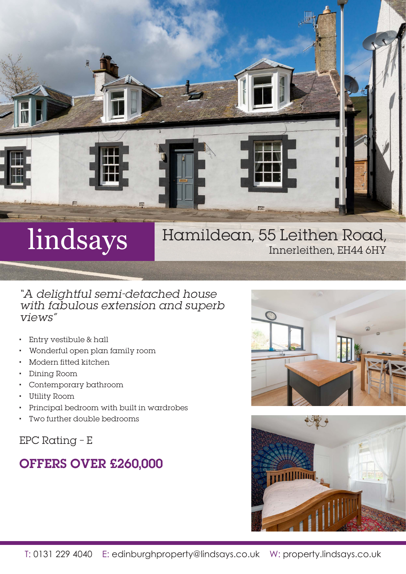

# lindsays

## Hamildean, 55 Leithen Road, Innerleithen, EH44 6HY

### "A delightful semi-detached house with fabulous extension and superb views"

- Entry vestibule & hall
- Wonderful open plan family room
- Modern fitted kitchen
- Dining Room
- Contemporary bathroom
- Utility Room
- Principal bedroom with built in wardrobes
- Two further double bedrooms

EPC Rating – E

# OFFERS OVER £260,000